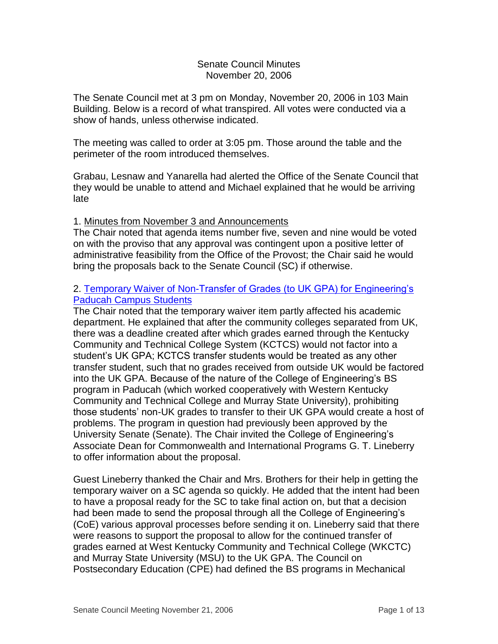### Senate Council Minutes November 20, 2006

The Senate Council met at 3 pm on Monday, November 20, 2006 in 103 Main Building. Below is a record of what transpired. All votes were conducted via a show of hands, unless otherwise indicated.

The meeting was called to order at 3:05 pm. Those around the table and the perimeter of the room introduced themselves.

Grabau, Lesnaw and Yanarella had alerted the Office of the Senate Council that they would be unable to attend and Michael explained that he would be arriving late

### 1. Minutes from November 3 and Announcements

The Chair noted that agenda items number five, seven and nine would be voted on with the proviso that any approval was contingent upon a positive letter of administrative feasibility from the Office of the Provost; the Chair said he would bring the proposals back to the Senate Council (SC) if otherwise.

### 2. [Temporary Waiver of Non-Transfer of Grades \(to UK GPA\) for Engineering's](http://www.uky.edu/USC/New/files/20061120/ENGR%20Temp%20Waiver_Paducah-KCTCS.pdf)  [Paducah Campus Students](http://www.uky.edu/USC/New/files/20061120/ENGR%20Temp%20Waiver_Paducah-KCTCS.pdf)

The Chair noted that the temporary waiver item partly affected his academic department. He explained that after the community colleges separated from UK, there was a deadline created after which grades earned through the Kentucky Community and Technical College System (KCTCS) would not factor into a student's UK GPA; KCTCS transfer students would be treated as any other transfer student, such that no grades received from outside UK would be factored into the UK GPA. Because of the nature of the College of Engineering's BS program in Paducah (which worked cooperatively with Western Kentucky Community and Technical College and Murray State University), prohibiting those students' non-UK grades to transfer to their UK GPA would create a host of problems. The program in question had previously been approved by the University Senate (Senate). The Chair invited the College of Engineering's Associate Dean for Commonwealth and International Programs G. T. Lineberry to offer information about the proposal.

Guest Lineberry thanked the Chair and Mrs. Brothers for their help in getting the temporary waiver on a SC agenda so quickly. He added that the intent had been to have a proposal ready for the SC to take final action on, but that a decision had been made to send the proposal through all the College of Engineering's (CoE) various approval processes before sending it on. Lineberry said that there were reasons to support the proposal to allow for the continued transfer of grades earned at West Kentucky Community and Technical College (WKCTC) and Murray State University (MSU) to the UK GPA. The Council on Postsecondary Education (CPE) had defined the BS programs in Mechanical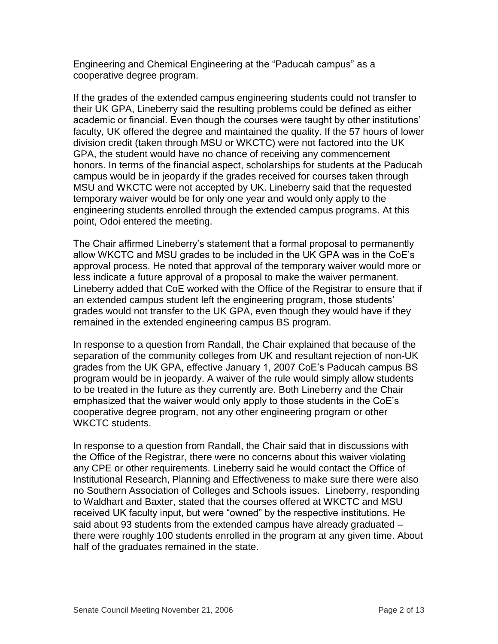Engineering and Chemical Engineering at the "Paducah campus" as a cooperative degree program.

If the grades of the extended campus engineering students could not transfer to their UK GPA, Lineberry said the resulting problems could be defined as either academic or financial. Even though the courses were taught by other institutions' faculty, UK offered the degree and maintained the quality. If the 57 hours of lower division credit (taken through MSU or WKCTC) were not factored into the UK GPA, the student would have no chance of receiving any commencement honors. In terms of the financial aspect, scholarships for students at the Paducah campus would be in jeopardy if the grades received for courses taken through MSU and WKCTC were not accepted by UK. Lineberry said that the requested temporary waiver would be for only one year and would only apply to the engineering students enrolled through the extended campus programs. At this point, Odoi entered the meeting.

The Chair affirmed Lineberry's statement that a formal proposal to permanently allow WKCTC and MSU grades to be included in the UK GPA was in the CoE's approval process. He noted that approval of the temporary waiver would more or less indicate a future approval of a proposal to make the waiver permanent. Lineberry added that CoE worked with the Office of the Registrar to ensure that if an extended campus student left the engineering program, those students' grades would not transfer to the UK GPA, even though they would have if they remained in the extended engineering campus BS program.

In response to a question from Randall, the Chair explained that because of the separation of the community colleges from UK and resultant rejection of non-UK grades from the UK GPA, effective January 1, 2007 CoE's Paducah campus BS program would be in jeopardy. A waiver of the rule would simply allow students to be treated in the future as they currently are. Both Lineberry and the Chair emphasized that the waiver would only apply to those students in the CoE's cooperative degree program, not any other engineering program or other WKCTC students.

In response to a question from Randall, the Chair said that in discussions with the Office of the Registrar, there were no concerns about this waiver violating any CPE or other requirements. Lineberry said he would contact the Office of Institutional Research, Planning and Effectiveness to make sure there were also no Southern Association of Colleges and Schools issues. Lineberry, responding to Waldhart and Baxter, stated that the courses offered at WKCTC and MSU received UK faculty input, but were "owned" by the respective institutions. He said about 93 students from the extended campus have already graduated – there were roughly 100 students enrolled in the program at any given time. About half of the graduates remained in the state.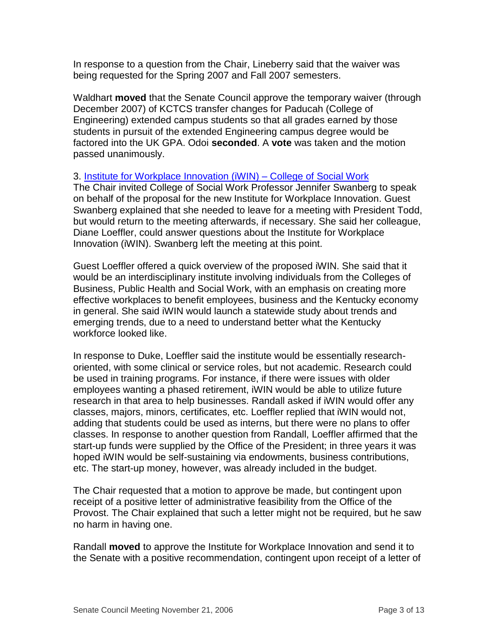In response to a question from the Chair, Lineberry said that the waiver was being requested for the Spring 2007 and Fall 2007 semesters.

Waldhart **moved** that the Senate Council approve the temporary waiver (through December 2007) of KCTCS transfer changes for Paducah (College of Engineering) extended campus students so that all grades earned by those students in pursuit of the extended Engineering campus degree would be factored into the UK GPA. Odoi **seconded**. A **vote** was taken and the motion passed unanimously.

### 3. [Institute for Workplace Innovation \(iWIN\) –](http://www.uky.edu/USC/New/files/20061120/iWIN%20-%20Social%20Work%20New%20Center_Complete.pdf) College of Social Work

The Chair invited College of Social Work Professor Jennifer Swanberg to speak on behalf of the proposal for the new Institute for Workplace Innovation. Guest Swanberg explained that she needed to leave for a meeting with President Todd, but would return to the meeting afterwards, if necessary. She said her colleague, Diane Loeffler, could answer questions about the Institute for Workplace Innovation (iWIN). Swanberg left the meeting at this point.

Guest Loeffler offered a quick overview of the proposed iWIN. She said that it would be an interdisciplinary institute involving individuals from the Colleges of Business, Public Health and Social Work, with an emphasis on creating more effective workplaces to benefit employees, business and the Kentucky economy in general. She said iWIN would launch a statewide study about trends and emerging trends, due to a need to understand better what the Kentucky workforce looked like.

In response to Duke, Loeffler said the institute would be essentially researchoriented, with some clinical or service roles, but not academic. Research could be used in training programs. For instance, if there were issues with older employees wanting a phased retirement, iWIN would be able to utilize future research in that area to help businesses. Randall asked if iWIN would offer any classes, majors, minors, certificates, etc. Loeffler replied that iWIN would not, adding that students could be used as interns, but there were no plans to offer classes. In response to another question from Randall, Loeffler affirmed that the start-up funds were supplied by the Office of the President; in three years it was hoped iWIN would be self-sustaining via endowments, business contributions, etc. The start-up money, however, was already included in the budget.

The Chair requested that a motion to approve be made, but contingent upon receipt of a positive letter of administrative feasibility from the Office of the Provost. The Chair explained that such a letter might not be required, but he saw no harm in having one.

Randall **moved** to approve the Institute for Workplace Innovation and send it to the Senate with a positive recommendation, contingent upon receipt of a letter of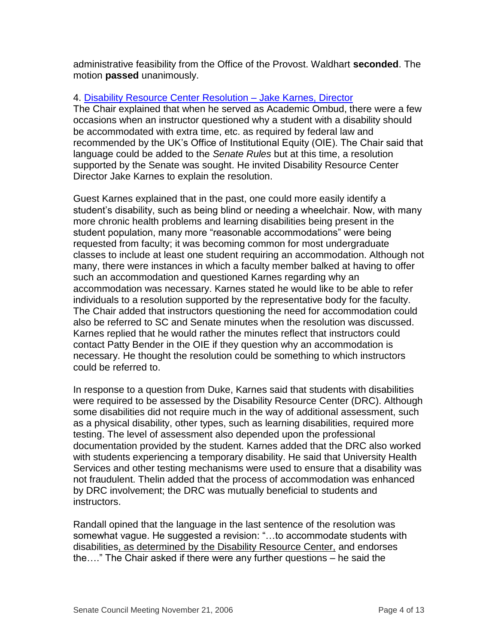administrative feasibility from the Office of the Provost. Waldhart **seconded**. The motion **passed** unanimously.

# 4. [Disability Resource Center Resolution –](http://www.uky.edu/USC/New/files/20061120/Disability%20Resource%20Center_Complete.pdf) Jake Karnes, Director

The Chair explained that when he served as Academic Ombud, there were a few occasions when an instructor questioned why a student with a disability should be accommodated with extra time, etc. as required by federal law and recommended by the UK's Office of Institutional Equity (OIE). The Chair said that language could be added to the *Senate Rules* but at this time, a resolution supported by the Senate was sought. He invited Disability Resource Center Director Jake Karnes to explain the resolution.

Guest Karnes explained that in the past, one could more easily identify a student's disability, such as being blind or needing a wheelchair. Now, with many more chronic health problems and learning disabilities being present in the student population, many more "reasonable accommodations" were being requested from faculty; it was becoming common for most undergraduate classes to include at least one student requiring an accommodation. Although not many, there were instances in which a faculty member balked at having to offer such an accommodation and questioned Karnes regarding why an accommodation was necessary. Karnes stated he would like to be able to refer individuals to a resolution supported by the representative body for the faculty. The Chair added that instructors questioning the need for accommodation could also be referred to SC and Senate minutes when the resolution was discussed. Karnes replied that he would rather the minutes reflect that instructors could contact Patty Bender in the OIE if they question why an accommodation is necessary. He thought the resolution could be something to which instructors could be referred to.

In response to a question from Duke, Karnes said that students with disabilities were required to be assessed by the Disability Resource Center (DRC). Although some disabilities did not require much in the way of additional assessment, such as a physical disability, other types, such as learning disabilities, required more testing. The level of assessment also depended upon the professional documentation provided by the student. Karnes added that the DRC also worked with students experiencing a temporary disability. He said that University Health Services and other testing mechanisms were used to ensure that a disability was not fraudulent. Thelin added that the process of accommodation was enhanced by DRC involvement; the DRC was mutually beneficial to students and instructors.

Randall opined that the language in the last sentence of the resolution was somewhat vague. He suggested a revision: "…to accommodate students with disabilities, as determined by the Disability Resource Center, and endorses the…." The Chair asked if there were any further questions – he said the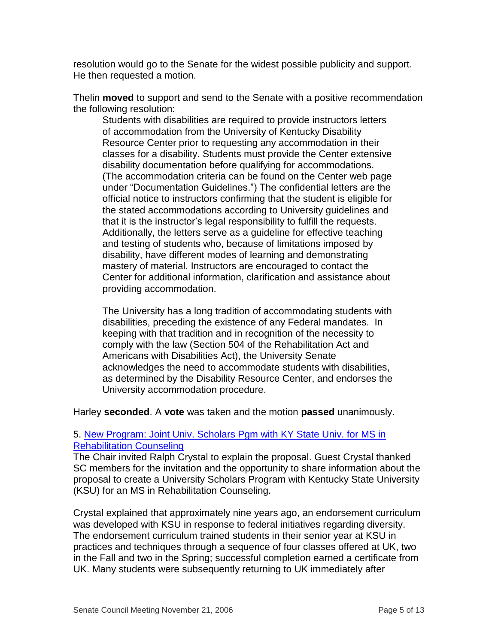resolution would go to the Senate for the widest possible publicity and support. He then requested a motion.

Thelin **moved** to support and send to the Senate with a positive recommendation the following resolution:

Students with disabilities are required to provide instructors letters of accommodation from the University of Kentucky Disability Resource Center prior to requesting any accommodation in their classes for a disability. Students must provide the Center extensive disability documentation before qualifying for accommodations. (The accommodation criteria can be found on the Center web page under "Documentation Guidelines.") The confidential letters are the official notice to instructors confirming that the student is eligible for the stated accommodations according to University guidelines and that it is the instructor's legal responsibility to fulfill the requests. Additionally, the letters serve as a guideline for effective teaching and testing of students who, because of limitations imposed by disability, have different modes of learning and demonstrating mastery of material. Instructors are encouraged to contact the Center for additional information, clarification and assistance about providing accommodation.

The University has a long tradition of accommodating students with disabilities, preceding the existence of any Federal mandates. In keeping with that tradition and in recognition of the necessity to comply with the law (Section 504 of the Rehabilitation Act and Americans with Disabilities Act), the University Senate acknowledges the need to accommodate students with disabilities, as determined by the Disability Resource Center, and endorses the University accommodation procedure.

Harley **seconded**. A **vote** was taken and the motion **passed** unanimously.

## 5. [New Program: Joint Univ. Scholars Pgm with KY State Univ. for MS in](http://www.uky.edu/USC/New/files/20061120/MS%20Rehab%20Cnslng%20Univ%20Schol-KSU%20New%20Pgm_Complete.pdf)  [Rehabilitation Counseling](http://www.uky.edu/USC/New/files/20061120/MS%20Rehab%20Cnslng%20Univ%20Schol-KSU%20New%20Pgm_Complete.pdf)

The Chair invited Ralph Crystal to explain the proposal. Guest Crystal thanked SC members for the invitation and the opportunity to share information about the proposal to create a University Scholars Program with Kentucky State University (KSU) for an MS in Rehabilitation Counseling.

Crystal explained that approximately nine years ago, an endorsement curriculum was developed with KSU in response to federal initiatives regarding diversity. The endorsement curriculum trained students in their senior year at KSU in practices and techniques through a sequence of four classes offered at UK, two in the Fall and two in the Spring; successful completion earned a certificate from UK. Many students were subsequently returning to UK immediately after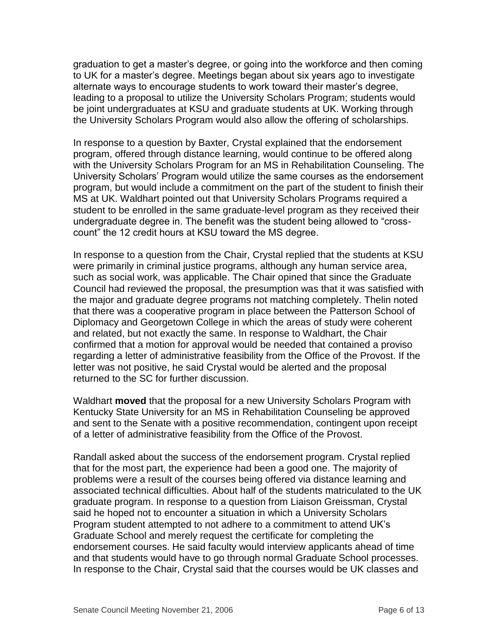graduation to get a master's degree, or going into the workforce and then coming to UK for a master's degree. Meetings began about six years ago to investigate alternate ways to encourage students to work toward their master's degree, leading to a proposal to utilize the University Scholars Program; students would be joint undergraduates at KSU and graduate students at UK. Working through the University Scholars Program would also allow the offering of scholarships.

In response to a question by Baxter, Crystal explained that the endorsement program, offered through distance learning, would continue to be offered along with the University Scholars Program for an MS in Rehabilitation Counseling. The University Scholars' Program would utilize the same courses as the endorsement program, but would include a commitment on the part of the student to finish their MS at UK. Waldhart pointed out that University Scholars Programs required a student to be enrolled in the same graduate-level program as they received their undergraduate degree in. The benefit was the student being allowed to "crosscount" the 12 credit hours at KSU toward the MS degree.

In response to a question from the Chair, Crystal replied that the students at KSU were primarily in criminal justice programs, although any human service area, such as social work, was applicable. The Chair opined that since the Graduate Council had reviewed the proposal, the presumption was that it was satisfied with the major and graduate degree programs not matching completely. Thelin noted that there was a cooperative program in place between the Patterson School of Diplomacy and Georgetown College in which the areas of study were coherent and related, but not exactly the same. In response to Waldhart, the Chair confirmed that a motion for approval would be needed that contained a proviso regarding a letter of administrative feasibility from the Office of the Provost. If the letter was not positive, he said Crystal would be alerted and the proposal returned to the SC for further discussion.

Waldhart **moved** that the proposal for a new University Scholars Program with Kentucky State University for an MS in Rehabilitation Counseling be approved and sent to the Senate with a positive recommendation, contingent upon receipt of a letter of administrative feasibility from the Office of the Provost.

Randall asked about the success of the endorsement program. Crystal replied that for the most part, the experience had been a good one. The majority of problems were a result of the courses being offered via distance learning and associated technical difficulties. About half of the students matriculated to the UK graduate program. In response to a question from Liaison Greissman, Crystal said he hoped not to encounter a situation in which a University Scholars Program student attempted to not adhere to a commitment to attend UK's Graduate School and merely request the certificate for completing the endorsement courses. He said faculty would interview applicants ahead of time and that students would have to go through normal Graduate School processes. In response to the Chair, Crystal said that the courses would be UK classes and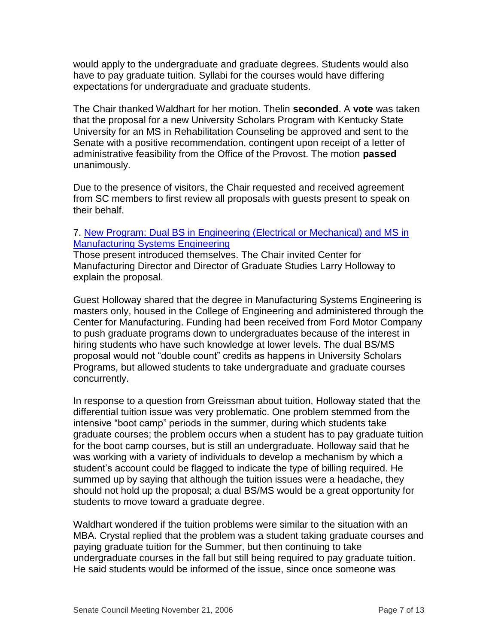would apply to the undergraduate and graduate degrees. Students would also have to pay graduate tuition. Syllabi for the courses would have differing expectations for undergraduate and graduate students.

The Chair thanked Waldhart for her motion. Thelin **seconded**. A **vote** was taken that the proposal for a new University Scholars Program with Kentucky State University for an MS in Rehabilitation Counseling be approved and sent to the Senate with a positive recommendation, contingent upon receipt of a letter of administrative feasibility from the Office of the Provost. The motion **passed** unanimously.

Due to the presence of visitors, the Chair requested and received agreement from SC members to first review all proposals with guests present to speak on their behalf.

### 7. [New Program: Dual BS in Engineering \(Electrical or Mechanical\) and MS in](http://www.uky.edu/USC/New/files/20061120/Dual%20BS%20Engineering_MS%20Manufac%20Sys%20Engin%20New%20Pgm_Complete.pdf)  [Manufacturing Systems Engineering](http://www.uky.edu/USC/New/files/20061120/Dual%20BS%20Engineering_MS%20Manufac%20Sys%20Engin%20New%20Pgm_Complete.pdf)

Those present introduced themselves. The Chair invited Center for Manufacturing Director and Director of Graduate Studies Larry Holloway to explain the proposal.

Guest Holloway shared that the degree in Manufacturing Systems Engineering is masters only, housed in the College of Engineering and administered through the Center for Manufacturing. Funding had been received from Ford Motor Company to push graduate programs down to undergraduates because of the interest in hiring students who have such knowledge at lower levels. The dual BS/MS proposal would not "double count" credits as happens in University Scholars Programs, but allowed students to take undergraduate and graduate courses concurrently.

In response to a question from Greissman about tuition, Holloway stated that the differential tuition issue was very problematic. One problem stemmed from the intensive "boot camp" periods in the summer, during which students take graduate courses; the problem occurs when a student has to pay graduate tuition for the boot camp courses, but is still an undergraduate. Holloway said that he was working with a variety of individuals to develop a mechanism by which a student's account could be flagged to indicate the type of billing required. He summed up by saying that although the tuition issues were a headache, they should not hold up the proposal; a dual BS/MS would be a great opportunity for students to move toward a graduate degree.

Waldhart wondered if the tuition problems were similar to the situation with an MBA. Crystal replied that the problem was a student taking graduate courses and paying graduate tuition for the Summer, but then continuing to take undergraduate courses in the fall but still being required to pay graduate tuition. He said students would be informed of the issue, since once someone was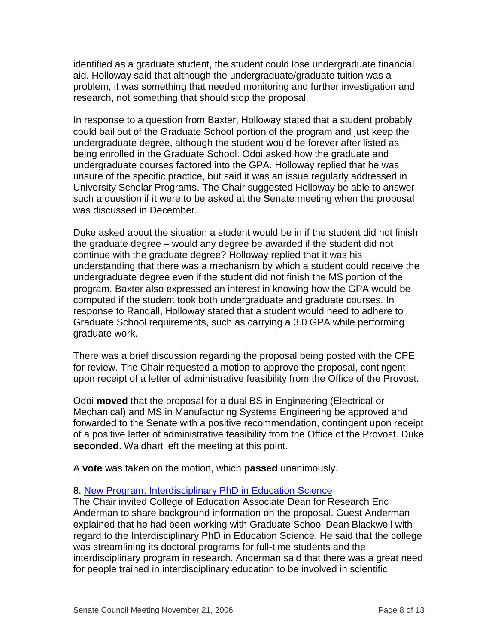identified as a graduate student, the student could lose undergraduate financial aid. Holloway said that although the undergraduate/graduate tuition was a problem, it was something that needed monitoring and further investigation and research, not something that should stop the proposal.

In response to a question from Baxter, Holloway stated that a student probably could bail out of the Graduate School portion of the program and just keep the undergraduate degree, although the student would be forever after listed as being enrolled in the Graduate School. Odoi asked how the graduate and undergraduate courses factored into the GPA. Holloway replied that he was unsure of the specific practice, but said it was an issue regularly addressed in University Scholar Programs. The Chair suggested Holloway be able to answer such a question if it were to be asked at the Senate meeting when the proposal was discussed in December.

Duke asked about the situation a student would be in if the student did not finish the graduate degree – would any degree be awarded if the student did not continue with the graduate degree? Holloway replied that it was his understanding that there was a mechanism by which a student could receive the undergraduate degree even if the student did not finish the MS portion of the program. Baxter also expressed an interest in knowing how the GPA would be computed if the student took both undergraduate and graduate courses. In response to Randall, Holloway stated that a student would need to adhere to Graduate School requirements, such as carrying a 3.0 GPA while performing graduate work.

There was a brief discussion regarding the proposal being posted with the CPE for review. The Chair requested a motion to approve the proposal, contingent upon receipt of a letter of administrative feasibility from the Office of the Provost.

Odoi **moved** that the proposal for a dual BS in Engineering (Electrical or Mechanical) and MS in Manufacturing Systems Engineering be approved and forwarded to the Senate with a positive recommendation, contingent upon receipt of a positive letter of administrative feasibility from the Office of the Provost. Duke **seconded**. Waldhart left the meeting at this point.

A **vote** was taken on the motion, which **passed** unanimously.

## 8. [New Program: Interdisciplinary PhD in Education Science](http://www.uky.edu/USC/New/files/20061120/Interdiscply%20PHD%20inEd%20Sci%20New%20Pgm_Complete_Complete.pdf)

The Chair invited College of Education Associate Dean for Research Eric Anderman to share background information on the proposal. Guest Anderman explained that he had been working with Graduate School Dean Blackwell with regard to the Interdisciplinary PhD in Education Science. He said that the college was streamlining its doctoral programs for full-time students and the interdisciplinary program in research. Anderman said that there was a great need for people trained in interdisciplinary education to be involved in scientific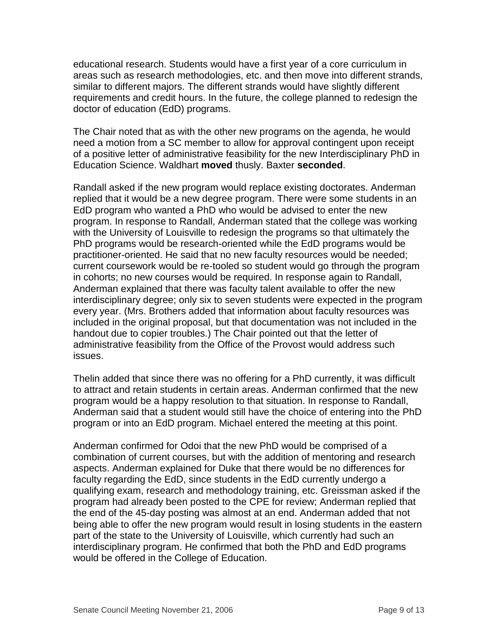educational research. Students would have a first year of a core curriculum in areas such as research methodologies, etc. and then move into different strands, similar to different majors. The different strands would have slightly different requirements and credit hours. In the future, the college planned to redesign the doctor of education (EdD) programs.

The Chair noted that as with the other new programs on the agenda, he would need a motion from a SC member to allow for approval contingent upon receipt of a positive letter of administrative feasibility for the new Interdisciplinary PhD in Education Science. Waldhart **moved** thusly. Baxter **seconded**.

Randall asked if the new program would replace existing doctorates. Anderman replied that it would be a new degree program. There were some students in an EdD program who wanted a PhD who would be advised to enter the new program. In response to Randall, Anderman stated that the college was working with the University of Louisville to redesign the programs so that ultimately the PhD programs would be research-oriented while the EdD programs would be practitioner-oriented. He said that no new faculty resources would be needed; current coursework would be re-tooled so student would go through the program in cohorts; no new courses would be required. In response again to Randall, Anderman explained that there was faculty talent available to offer the new interdisciplinary degree; only six to seven students were expected in the program every year. (Mrs. Brothers added that information about faculty resources was included in the original proposal, but that documentation was not included in the handout due to copier troubles.) The Chair pointed out that the letter of administrative feasibility from the Office of the Provost would address such issues.

Thelin added that since there was no offering for a PhD currently, it was difficult to attract and retain students in certain areas. Anderman confirmed that the new program would be a happy resolution to that situation. In response to Randall, Anderman said that a student would still have the choice of entering into the PhD program or into an EdD program. Michael entered the meeting at this point.

Anderman confirmed for Odoi that the new PhD would be comprised of a combination of current courses, but with the addition of mentoring and research aspects. Anderman explained for Duke that there would be no differences for faculty regarding the EdD, since students in the EdD currently undergo a qualifying exam, research and methodology training, etc. Greissman asked if the program had already been posted to the CPE for review; Anderman replied that the end of the 45-day posting was almost at an end. Anderman added that not being able to offer the new program would result in losing students in the eastern part of the state to the University of Louisville, which currently had such an interdisciplinary program. He confirmed that both the PhD and EdD programs would be offered in the College of Education.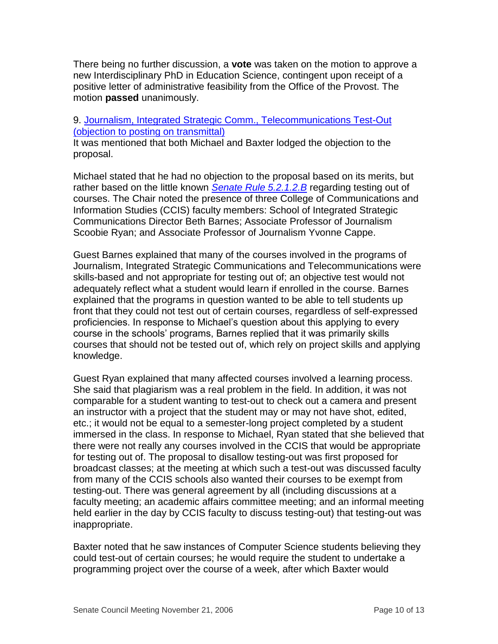There being no further discussion, a **vote** was taken on the motion to approve a new Interdisciplinary PhD in Education Science, contingent upon receipt of a positive letter of administrative feasibility from the Office of the Provost. The motion **passed** unanimously.

## 9. [Journalism, Integrated Strategic Comm., Telecommunications Test-Out](http://www.uky.edu/USC/New/files/20061120/Journalism%20Test%20Out%20Program%20Change.pdf)  [\(objection to posting on transmittal\)](http://www.uky.edu/USC/New/files/20061120/Journalism%20Test%20Out%20Program%20Change.pdf)

It was mentioned that both Michael and Baxter lodged the objection to the proposal.

Michael stated that he had no objection to the proposal based on its merits, but rather based on the little known *[Senate Rule](http://www.uky.edu/USC/New/files/20061120/5-2-1-2_Special%20Examination.pdf) 5.2.1.2.B* regarding testing out of courses. The Chair noted the presence of three College of Communications and Information Studies (CCIS) faculty members: School of Integrated Strategic Communications Director Beth Barnes; Associate Professor of Journalism Scoobie Ryan; and Associate Professor of Journalism Yvonne Cappe.

Guest Barnes explained that many of the courses involved in the programs of Journalism, Integrated Strategic Communications and Telecommunications were skills-based and not appropriate for testing out of; an objective test would not adequately reflect what a student would learn if enrolled in the course. Barnes explained that the programs in question wanted to be able to tell students up front that they could not test out of certain courses, regardless of self-expressed proficiencies. In response to Michael's question about this applying to every course in the schools' programs, Barnes replied that it was primarily skills courses that should not be tested out of, which rely on project skills and applying knowledge.

Guest Ryan explained that many affected courses involved a learning process. She said that plagiarism was a real problem in the field. In addition, it was not comparable for a student wanting to test-out to check out a camera and present an instructor with a project that the student may or may not have shot, edited, etc.; it would not be equal to a semester-long project completed by a student immersed in the class. In response to Michael, Ryan stated that she believed that there were not really any courses involved in the CCIS that would be appropriate for testing out of. The proposal to disallow testing-out was first proposed for broadcast classes; at the meeting at which such a test-out was discussed faculty from many of the CCIS schools also wanted their courses to be exempt from testing-out. There was general agreement by all (including discussions at a faculty meeting; an academic affairs committee meeting; and an informal meeting held earlier in the day by CCIS faculty to discuss testing-out) that testing-out was inappropriate.

Baxter noted that he saw instances of Computer Science students believing they could test-out of certain courses; he would require the student to undertake a programming project over the course of a week, after which Baxter would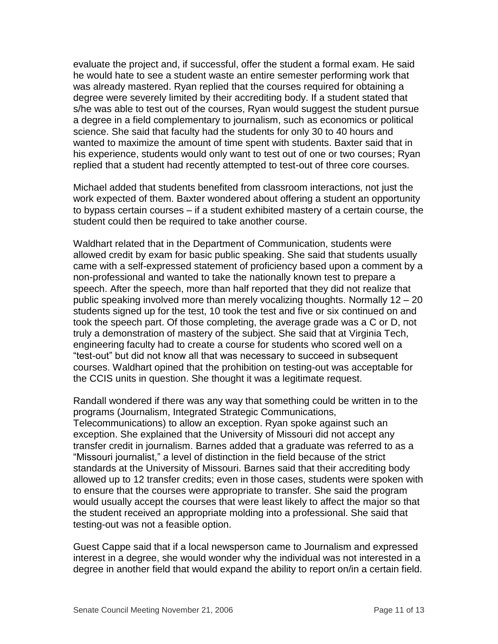evaluate the project and, if successful, offer the student a formal exam. He said he would hate to see a student waste an entire semester performing work that was already mastered. Ryan replied that the courses required for obtaining a degree were severely limited by their accrediting body. If a student stated that s/he was able to test out of the courses, Ryan would suggest the student pursue a degree in a field complementary to journalism, such as economics or political science. She said that faculty had the students for only 30 to 40 hours and wanted to maximize the amount of time spent with students. Baxter said that in his experience, students would only want to test out of one or two courses; Ryan replied that a student had recently attempted to test-out of three core courses.

Michael added that students benefited from classroom interactions, not just the work expected of them. Baxter wondered about offering a student an opportunity to bypass certain courses – if a student exhibited mastery of a certain course, the student could then be required to take another course.

Waldhart related that in the Department of Communication, students were allowed credit by exam for basic public speaking. She said that students usually came with a self-expressed statement of proficiency based upon a comment by a non-professional and wanted to take the nationally known test to prepare a speech. After the speech, more than half reported that they did not realize that public speaking involved more than merely vocalizing thoughts. Normally 12 – 20 students signed up for the test, 10 took the test and five or six continued on and took the speech part. Of those completing, the average grade was a C or D, not truly a demonstration of mastery of the subject. She said that at Virginia Tech, engineering faculty had to create a course for students who scored well on a "test-out" but did not know all that was necessary to succeed in subsequent courses. Waldhart opined that the prohibition on testing-out was acceptable for the CCIS units in question. She thought it was a legitimate request.

Randall wondered if there was any way that something could be written in to the programs (Journalism, Integrated Strategic Communications, Telecommunications) to allow an exception. Ryan spoke against such an exception. She explained that the University of Missouri did not accept any transfer credit in journalism. Barnes added that a graduate was referred to as a "Missouri journalist," a level of distinction in the field because of the strict standards at the University of Missouri. Barnes said that their accrediting body allowed up to 12 transfer credits; even in those cases, students were spoken with to ensure that the courses were appropriate to transfer. She said the program would usually accept the courses that were least likely to affect the major so that the student received an appropriate molding into a professional. She said that testing-out was not a feasible option.

Guest Cappe said that if a local newsperson came to Journalism and expressed interest in a degree, she would wonder why the individual was not interested in a degree in another field that would expand the ability to report on/in a certain field.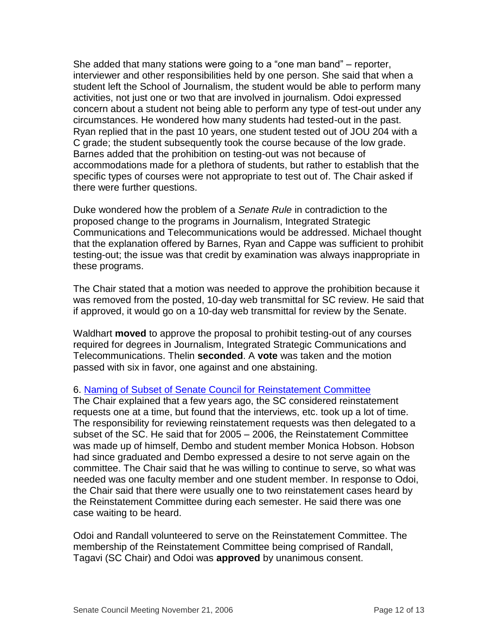She added that many stations were going to a "one man band" – reporter, interviewer and other responsibilities held by one person. She said that when a student left the School of Journalism, the student would be able to perform many activities, not just one or two that are involved in journalism. Odoi expressed concern about a student not being able to perform any type of test-out under any circumstances. He wondered how many students had tested-out in the past. Ryan replied that in the past 10 years, one student tested out of JOU 204 with a C grade; the student subsequently took the course because of the low grade. Barnes added that the prohibition on testing-out was not because of accommodations made for a plethora of students, but rather to establish that the specific types of courses were not appropriate to test out of. The Chair asked if there were further questions.

Duke wondered how the problem of a *Senate Rule* in contradiction to the proposed change to the programs in Journalism, Integrated Strategic Communications and Telecommunications would be addressed. Michael thought that the explanation offered by Barnes, Ryan and Cappe was sufficient to prohibit testing-out; the issue was that credit by examination was always inappropriate in these programs.

The Chair stated that a motion was needed to approve the prohibition because it was removed from the posted, 10-day web transmittal for SC review. He said that if approved, it would go on a 10-day web transmittal for review by the Senate.

Waldhart **moved** to approve the proposal to prohibit testing-out of any courses required for degrees in Journalism, Integrated Strategic Communications and Telecommunications. Thelin **seconded**. A **vote** was taken and the motion passed with six in favor, one against and one abstaining.

## 6. Naming of [Subset of Senate Council for Reinstatement Committee](http://www.uky.edu/USC/New/files/20061120/Reinstatement%20Cmte.pdf)

The Chair explained that a few years ago, the SC considered reinstatement requests one at a time, but found that the interviews, etc. took up a lot of time. The responsibility for reviewing reinstatement requests was then delegated to a subset of the SC. He said that for 2005 – 2006, the Reinstatement Committee was made up of himself, Dembo and student member Monica Hobson. Hobson had since graduated and Dembo expressed a desire to not serve again on the committee. The Chair said that he was willing to continue to serve, so what was needed was one faculty member and one student member. In response to Odoi, the Chair said that there were usually one to two reinstatement cases heard by the Reinstatement Committee during each semester. He said there was one case waiting to be heard.

Odoi and Randall volunteered to serve on the Reinstatement Committee. The membership of the Reinstatement Committee being comprised of Randall, Tagavi (SC Chair) and Odoi was **approved** by unanimous consent.